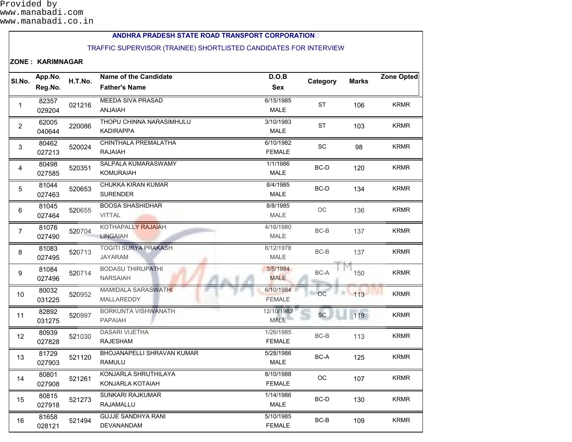## **ANDHRA PRADESH STATE ROAD TRANSPORT CORPORATION**

## TRAFFIC SUPERVISOR (TRAINEE) SHORTLISTED CANDIDATES FOR INTERVIEW

## **ZONE : KARIMNAGAR**

| SI.No.          | App.No.<br>Reg.No. | H.T.No. | <b>Name of the Candidate</b><br><b>Father's Name</b> | D.O.B<br><b>Sex</b>        | Category  | <b>Marks</b> | <b>Zone Opted</b> |
|-----------------|--------------------|---------|------------------------------------------------------|----------------------------|-----------|--------------|-------------------|
| $\mathbf{1}$    | 82357<br>029204    | 021216  | <b>MEEDA SIVA PRASAD</b><br><b>ANJAIAH</b>           | 6/15/1985<br><b>MALE</b>   | <b>ST</b> | 106          | <b>KRMR</b>       |
| $\overline{2}$  | 62005<br>040644    | 220086  | THOPU CHINNA NARASIMHULU<br><b>KADIRAPPA</b>         | 3/10/1983<br>MALE          | <b>ST</b> | 103          | <b>KRMR</b>       |
| 3               | 80462<br>027213    | 520024  | CHINTHALA PREMALATHA<br><b>RAJAIAH</b>               | 6/10/1982<br><b>FEMALE</b> | SC        | 98           | <b>KRMR</b>       |
| 4               | 80498<br>027585    | 520351  | SALPALA KUMARASWAMY<br><b>KOMURAIAH</b>              | 1/1/1986<br><b>MALE</b>    | BC-D      | 120          | <b>KRMR</b>       |
| 5               | 81044<br>027463    | 520653  | CHUKKA KIRAN KUMAR<br><b>SURENDER</b>                | 8/4/1985<br><b>MALE</b>    | $BC-D$    | 134          | <b>KRMR</b>       |
| 6               | 81045<br>027464    | 520655  | <b>BOOSA SHASHIDHAR</b><br><b>VITTAL</b>             | 8/8/1985<br><b>MALE</b>    | ОC        | 136          | <b>KRMR</b>       |
| $\overline{7}$  | 81076<br>027490    | 520704  | KOTHAPALLY RAJAIAH<br><b>LINGAIAH</b>                | 4/16/1980<br><b>MALE</b>   | BC-B      | 137          | <b>KRMR</b>       |
| 8               | 81083<br>027495    | 520713  | <b>TOGITI SURYA PRAKASH</b><br><b>JAYARAM</b>        | 8/12/1978<br><b>MALE</b>   | BC-B      | 137          | <b>KRMR</b>       |
| 9               | 81084<br>027496    | 520714  | <b>BODASU THIRUPATHI</b><br><b>NARSAIAH</b>          | 3/5/1984<br><b>MALE</b>    | BC-A      | 150          | <b>KRMR</b>       |
| 10 <sup>°</sup> | 80032<br>031225    | 520952  | <b>MAMIDALA SARASWATHI</b><br>MALLAREDDY             | 6/10/1984<br><b>FEMALE</b> | OC        | $-113$       | <b>KRMR</b>       |
| 11              | 82892<br>031275    | 520997  | <b>BORKUNTA VISHWANATH</b><br><b>PAPAIAH</b>         | 12/10/1982<br><b>MALE</b>  | <b>SC</b> | 119          | <b>KRMR</b>       |
| 12              | 80939<br>027828    | 521030  | <b>DASARI VIJETHA</b><br><b>RAJESHAM</b>             | 1/26/1985<br><b>FEMALE</b> | BC-B      | 113          | <b>KRMR</b>       |
| 13              | 81729<br>027903    | 521120  | <b>BHOJANAPELLI SHRAVAN KUMAR</b><br>RAMULU          | 5/28/1986<br><b>MALE</b>   | $BC-A$    | 125          | <b>KRMR</b>       |
| 14              | 80801<br>027908    | 521261  | KONJARLA SHRUTHILAYA<br>KONJARLA KOTAIAH             | 8/10/1988<br><b>FEMALE</b> | ОC        | 107          | <b>KRMR</b>       |
| 15              | 80815<br>027918    | 521273  | SUNKARI RAJKUMAR<br>RAJAMALLU                        | 1/14/1986<br>MALE          | BC-D      | 130          | <b>KRMR</b>       |
| 16              | 81658<br>028121    | 521494  | <b>GUJJE SANDHYA RANI</b><br>DEVANANDAM              | 5/10/1985<br><b>FEMALE</b> | BC-B      | 109          | <b>KRMR</b>       |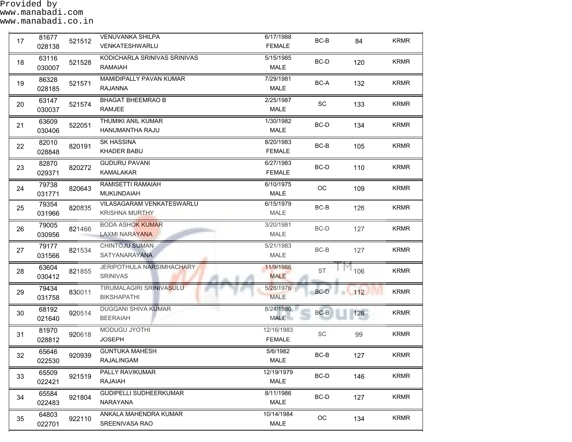| 17 | 81677<br>028138 | 521512 | <b>VENUVANKA SHILPA</b><br>VENKATESHWARLU          | 6/17/1988<br><b>FEMALE</b>  | BC-B                        | 84  | <b>KRMR</b> |
|----|-----------------|--------|----------------------------------------------------|-----------------------------|-----------------------------|-----|-------------|
| 18 | 63116<br>030007 | 521528 | KODICHARLA SRINIVAS SRINIVAS<br>RAMAIAH            | 5/15/1985<br><b>MALE</b>    | BC-D                        | 120 | <b>KRMR</b> |
| 19 | 86328<br>028185 | 521571 | <b>MAMIDIPALLY PAVAN KUMAR</b><br><b>RAJANNA</b>   | 7/29/1981<br><b>MALE</b>    | $BC-A$                      | 132 | <b>KRMR</b> |
| 20 | 63147<br>030037 | 521574 | <b>BHAGAT BHEEMRAO B</b><br><b>RAMJEE</b>          | 2/25/1987<br><b>MALE</b>    | SC                          | 133 | <b>KRMR</b> |
| 21 | 63609<br>030406 | 522051 | THUMIKI ANIL KUMAR<br>HANUMANTHA RAJU              | 1/30/1982<br><b>MALE</b>    | BC-D                        | 134 | <b>KRMR</b> |
| 22 | 82010<br>028848 | 820191 | <b>SK HASSINA</b><br>KHADER BABU                   | 8/20/1983<br><b>FEMALE</b>  | BC-B                        | 105 | <b>KRMR</b> |
| 23 | 82870<br>029371 | 820272 | <b>GUDURU PAVANI</b><br>KAMALAKAR                  | 6/27/1983<br><b>FEMALE</b>  | BC-D                        | 110 | <b>KRMR</b> |
| 24 | 79738<br>031771 | 820643 | RAMISETTI RAMAIAH<br><b>MUKUNDAIAH</b>             | 6/10/1975<br>MALE           | OC                          | 109 | <b>KRMR</b> |
| 25 | 79354<br>031966 | 820835 | VILASAGARAM VENKATESWARLU<br><b>KRISHNA MURTHY</b> | 6/15/1979<br>MALE           | $BC-B$                      | 126 | <b>KRMR</b> |
| 26 | 79005<br>030956 | 821466 | <b>BODA ASHOK KUMAR</b><br><b>LAXMI NARAYANA</b>   | 3/20/1981<br>MALE           | BC-D                        | 127 | <b>KRMR</b> |
| 27 | 79177<br>031566 | 821534 | CHINTOJU SUMAN<br>SATYANARAYANA                    | 5/21/1983<br>MALE           | BC-B                        | 127 | <b>KRMR</b> |
| 28 | 63604<br>030412 | 821855 | JERIPOTHULA NARSIMHACHARY<br><b>SRINIVAS</b>       | 11/9/1986<br><b>MALE</b>    | <b>ST</b>                   | 106 | <b>KRMR</b> |
| 29 | 79434<br>031758 | 830011 | TIRUMALAGIRI SRINIVASULU<br><b>BIKSHAPATHI</b>     | 5/28/1976<br><b>MALE</b>    | $BC-D$                      | 112 | <b>KRMR</b> |
| 30 | 68192<br>021640 | 920514 | <b>DUGGANI SHIVA KUMAR</b><br><b>BEERAIAH</b>      | 8/24/1980<br><b>MALE</b>    | $BC-B$                      | 128 | <b>KRMR</b> |
| 31 | 81970<br>028812 | 920618 | <b>MODUGU JYOTHI</b><br><b>JOSEPH</b>              | 12/16/1983<br><b>FEMALE</b> | $\protect\operatorname{SC}$ | 99  | <b>KRMR</b> |
| 32 | 65646<br>022530 | 920939 | <b>GUNTUKA MAHESH</b><br>RAJALINGAM                | 5/6/1982<br>MALE            | $BC-B$                      | 127 | <b>KRMR</b> |
| 33 | 65509<br>022421 | 921519 | <b>PALLY RAVIKUMAR</b><br>RAJAIAH                  | 12/19/1979<br><b>MALE</b>   | BC-D                        | 146 | <b>KRMR</b> |
| 34 | 65584<br>022483 | 921804 | <b>GUDIPELLI SUDHEERKUMAR</b><br>NARAYANA          | 8/11/1986<br><b>MALE</b>    | BC-D                        | 127 | <b>KRMR</b> |
| 35 | 64803<br>022701 | 922110 | ANKALA MAHENDRA KUMAR<br>SREENIVASA RAO            | 10/14/1984<br>MALE          | $_{\rm OC}$                 | 134 | <b>KRMR</b> |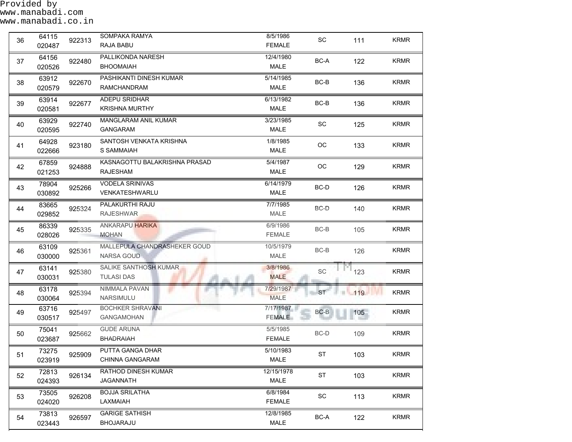Provided by www.manabadi.com

| 36 | 64115<br>020487 | 922313 | SOMPAKA RAMYA<br>RAJA BABU                        | 8/5/1986<br><b>FEMALE</b>  | $\operatorname{\textsf{SC}}$ | 111 | <b>KRMR</b> |
|----|-----------------|--------|---------------------------------------------------|----------------------------|------------------------------|-----|-------------|
| 37 | 64156<br>020526 | 922480 | PALLIKONDA NARESH<br><b>BHOOMAIAH</b>             | 12/4/1980<br><b>MALE</b>   | BC-A                         | 122 | <b>KRMR</b> |
| 38 | 63912<br>020579 | 922670 | PASHIKANTI DINESH KUMAR<br>RAMCHANDRAM            | 5/14/1985<br><b>MALE</b>   | BC-B                         | 136 | <b>KRMR</b> |
| 39 | 63914<br>020581 | 922677 | ADEPU SRIDHAR<br><b>KRISHNA MURTHY</b>            | 6/13/1982<br><b>MALE</b>   | BC-B                         | 136 | <b>KRMR</b> |
| 40 | 63929<br>020595 | 922740 | MANGLARAM ANIL KUMAR<br><b>GANGARAM</b>           | 3/23/1985<br><b>MALE</b>   | SC                           | 125 | <b>KRMR</b> |
| 41 | 64928<br>022666 | 923180 | SANTOSH VENKATA KRISHNA<br>S SAMMAIAH             | 1/8/1985<br>MALE           | ОC                           | 133 | <b>KRMR</b> |
| 42 | 67859<br>021253 | 924888 | KASNAGOTTU BALAKRISHNA PRASAD<br><b>RAJESHAM</b>  | 5/4/1987<br>MALE           | OC                           | 129 | <b>KRMR</b> |
| 43 | 78904<br>030892 | 925266 | <b>VODELA SRINIVAS</b><br>VENKATESHWARLU          | 6/14/1979<br><b>MALE</b>   | BC-D                         | 126 | <b>KRMR</b> |
| 44 | 83665<br>029852 | 925324 | PALAKURTHI RAJU<br><b>RAJESHWAR</b>               | 7/7/1985<br><b>MALE</b>    | BC-D                         | 140 | <b>KRMR</b> |
| 45 | 86339<br>028026 | 925335 | <b>ANKARAPU HARIKA</b><br><b>MOHAN</b>            | 6/9/1986<br><b>FEMALE</b>  | BC-B                         | 105 | <b>KRMR</b> |
| 46 | 63109<br>030000 | 925361 | MALLEPULA CHANDRASHEKER GOUD<br><b>NARSA GOUD</b> | 10/5/1979<br><b>MALE</b>   | $BC-B$                       | 126 | <b>KRMR</b> |
| 47 | 63141<br>030031 | 925380 | SALIKE SANTHOSH KUMAR<br><b>TULASI DAS</b>        | 3/8/1986<br><b>MALE</b>    | SC                           | 123 | <b>KRMR</b> |
| 48 | 63178<br>030064 | 925394 | NIMMALA PAVAN<br>NARSIMULU                        | 7/29/1987<br><b>MALE</b>   | <b>ST</b>                    | 119 | <b>KRMR</b> |
| 49 | 63716<br>030517 | 925497 | <b>BOCHKER SHRAVANI</b><br><b>GANGAMOHAN</b>      | 7/17/1987<br><b>FEMALE</b> | $BC-B$                       | 105 | <b>KRMR</b> |
| 50 | 75041<br>023687 | 925662 | <b>GUDE ARUNA</b><br><b>BHADRAIAH</b>             | 5/5/1985<br><b>FEMALE</b>  | $BC-D$                       | 109 | <b>KRMR</b> |
| 51 | 73275<br>023919 | 925909 | PUTTA GANGA DHAR<br><b>CHINNA GANGARAM</b>        | 5/10/1983<br>MALE          | <b>ST</b>                    | 103 | <b>KRMR</b> |
| 52 | 72813<br>024393 | 926134 | RATHOD DINESH KUMAR<br>JAGANNATH                  | 12/15/1978<br><b>MALE</b>  | <b>ST</b>                    | 103 | <b>KRMR</b> |
| 53 | 73505<br>024020 | 926208 | <b>BOJJA SRILATHA</b><br>LAXMAIAH                 | 6/8/1984<br><b>FEMALE</b>  | $\operatorname{\textsf{SC}}$ | 113 | <b>KRMR</b> |
| 54 | 73813<br>023443 | 926597 | <b>GARIGE SATHISH</b><br><b>BHOJARAJU</b>         | 12/8/1985<br>MALE          | BC-A                         | 122 | <b>KRMR</b> |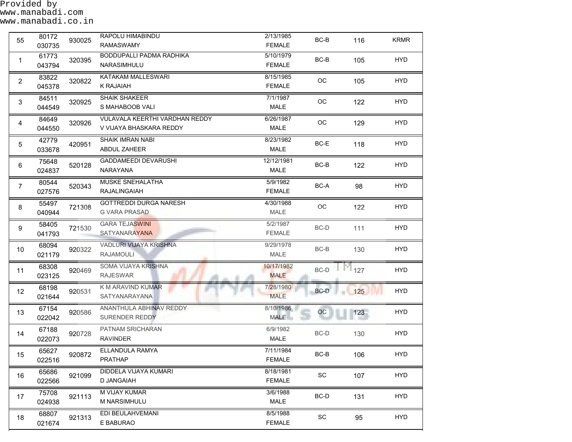Provided by www.manabadi.com www.manabadi.co.in

| 55              | 80172<br>030735 | 930025 | RAPOLU HIMABINDU<br><b>RAMASWAMY</b>                             | 2/13/1985<br><b>FEMALE</b> | BC-B                         | 116                     | <b>KRMR</b> |
|-----------------|-----------------|--------|------------------------------------------------------------------|----------------------------|------------------------------|-------------------------|-------------|
| 1               | 61773<br>043794 | 320395 | <b>BODDUPALLI PADMA RADHIKA</b><br>NARASIMHULU                   | 5/10/1979<br><b>FEMALE</b> | BC-B                         | 105                     | <b>HYD</b>  |
| 2               | 83822<br>045378 | 320822 | KATAKAM MALLESWARI<br><b>K RAJAIAH</b>                           | 8/15/1985<br><b>FEMALE</b> | OC                           | 105                     | <b>HYD</b>  |
| 3               | 84511<br>044549 | 320925 | <b>SHAIK SHAKEER</b><br>S MAHABOOB VALI                          | 7/1/1987<br>MALE           | $_{\rm OC}$                  | 122                     | <b>HYD</b>  |
| 4               | 84649<br>044550 | 320926 | <b>VULAVALA KEERTHI VARDHAN REDDY</b><br>V VIJAYA BHASKARA REDDY | 6/26/1987<br>MALE          | OC                           | 129                     | <b>HYD</b>  |
| 5               | 42779<br>033678 | 420951 | <b>SHAIK IMRAN NABI</b><br>ABDUL ZAHEER                          | 8/23/1982<br>MALE          | BC-E                         | 118                     | <b>HYD</b>  |
| 6               | 75648<br>024837 | 520128 | GADDAMEEDI DEVARUSHI<br>NARAYANA                                 | 12/12/1981<br>MALE         | $BC-B$                       | 122                     | <b>HYD</b>  |
| $\overline{7}$  | 80544<br>027576 | 520343 | MUSKE SNEHALATHA<br>RAJALINGAIAH                                 | 5/9/1982<br><b>FEMALE</b>  | BC-A                         | 98                      | <b>HYD</b>  |
| 8               | 55497<br>040944 | 721308 | <b>GOTTREDDI DURGA NARESH</b><br><b>G VARA PRASAD</b>            | 4/30/1988<br>MALE          | OC                           | 122                     | <b>HYD</b>  |
| 9               | 58405<br>041793 | 721530 | <b>GARA TEJASWINI</b><br><b>SATYANARAYANA</b>                    | 5/2/1987<br><b>FEMALE</b>  | $BC-D$                       | 111                     | <b>HYD</b>  |
| 10 <sup>1</sup> | 68094<br>021179 | 920322 | VADLURI VIJAYA KRISHNA<br><b>RAJAMOULI</b>                       | 9/29/1978<br><b>MALE</b>   | BC-B                         | 130                     | <b>HYD</b>  |
| 11              | 68308<br>023125 | 920469 | SOMA VIJAYA KRISHNA<br><b>RAJESWAR</b>                           | 10/17/1982<br><b>MALE</b>  | BC-D                         | $\Gamma$ <sup>127</sup> | <b>HYD</b>  |
| 12              | 68198<br>021644 | 920531 | <b>K M ARAVIND KUMAR</b><br>SATYANARAYANA                        | 7/28/1980<br><b>MALE</b>   | BC-D                         | 125                     | <b>HYD</b>  |
| 13              | 67154<br>022042 | 920586 | ANANTHULA ABHINAV REDDY<br><b>SURENDER REDDY</b>                 | 8/10/1986<br><b>MALE</b>   | OC                           | $123 -$                 | <b>HYD</b>  |
| 14              | 67188<br>022073 | 920728 | PATNAM SRICHARAN<br><b>RAVINDER</b>                              | 6/9/1982<br>MALE           | $BC-D$                       | 130                     | <b>HYD</b>  |
| 15              | 65627<br>022516 | 920872 | ELLANDULA RAMYA<br><b>PRATHAP</b>                                | 7/11/1984<br><b>FEMALE</b> | BC-B                         | 106                     | <b>HYD</b>  |
| 16              | 65686<br>022566 | 921099 | <b>DIDDELA VIJAYA KUMARI</b><br>D JANGAIAH                       | 8/18/1981<br><b>FEMALE</b> | SC                           | 107                     | <b>HYD</b>  |
| 17              | 75708<br>024938 | 921113 | M VIJAY KUMAR<br>M NARSIMHULU                                    | 3/6/1988<br><b>MALE</b>    | BC-D                         | 131                     | <b>HYD</b>  |
| 18              | 68807<br>021674 | 921313 | EDI BEULAHVEMANI<br>E BABURAO                                    | 8/5/1988<br><b>FEMALE</b>  | $\operatorname{\textsf{SC}}$ | 95                      | <b>HYD</b>  |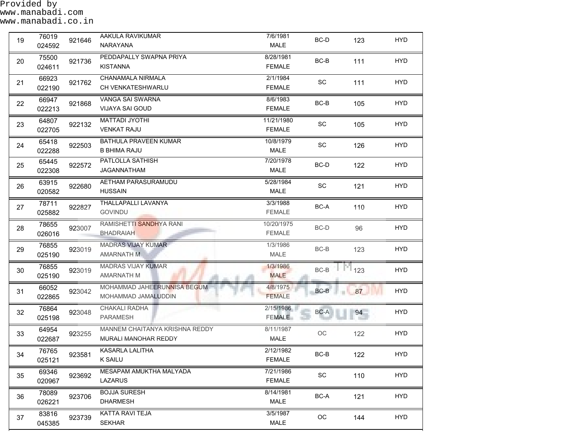| 19 | 76019<br>024592 | 921646 | AAKULA RAVIKUMAR<br>NARAYANA                           | 7/6/1981<br>MALE            | BC-D                         | 123      | <b>HYD</b> |
|----|-----------------|--------|--------------------------------------------------------|-----------------------------|------------------------------|----------|------------|
| 20 | 75500<br>024611 | 921736 | PEDDAPALLY SWAPNA PRIYA<br><b>KISTANNA</b>             | 8/28/1981<br><b>FEMALE</b>  | $BC-B$                       | 111      | <b>HYD</b> |
| 21 | 66923<br>022190 | 921762 | CHANAMALA NIRMALA<br>CH VENKATESHWARLU                 | 2/1/1984<br><b>FEMALE</b>   | SC                           | 111      | <b>HYD</b> |
| 22 | 66947<br>022213 | 921868 | VANGA SAI SWARNA<br><b>VIJAYA SAI GOUD</b>             | 8/6/1983<br><b>FEMALE</b>   | $BC-B$                       | 105      | <b>HYD</b> |
| 23 | 64807<br>022705 | 922132 | <b>MATTADI JYOTHI</b><br><b>VENKAT RAJU</b>            | 11/21/1980<br><b>FEMALE</b> | SC                           | 105      | <b>HYD</b> |
| 24 | 65418<br>022288 | 922503 | BATHULA PRAVEEN KUMAR<br><b>B BHIMA RAJU</b>           | 10/8/1979<br><b>MALE</b>    | SC                           | 126      | <b>HYD</b> |
| 25 | 65445<br>022308 | 922572 | PATLOLLA SATHISH<br>JAGANNATHAM                        | 7/20/1978<br><b>MALE</b>    | BC-D                         | 122      | <b>HYD</b> |
| 26 | 63915<br>020582 | 922680 | AETHAM PARASURAMUDU<br><b>HUSSAIN</b>                  | 5/28/1984<br><b>MALE</b>    | SC                           | 121      | <b>HYD</b> |
| 27 | 78711<br>025882 | 922827 | THALLAPALLI LAVANYA<br><b>GOVINDU</b>                  | 3/3/1988<br><b>FEMALE</b>   | BC-A                         | 110      | <b>HYD</b> |
| 28 | 78655<br>026016 | 923007 | RAMISHETTI SANDHYA RANI<br><b>BHADRAIAH</b>            | 10/20/1975<br><b>FEMALE</b> | $BC-D$                       | 96       | <b>HYD</b> |
| 29 | 76855<br>025190 | 923019 | <b>MADRAS VIJAY KUMAR</b><br>AMARNATH M                | 1/3/1986<br><b>MALE</b>     | $BC-B$                       | 123      | <b>HYD</b> |
| 30 | 76855<br>025190 | 923019 | <b>MADRAS VIJAY KUMAR</b><br><b>AMARNATH M</b>         | 1/3/1986<br><b>MALE</b>     | BC-B                         | М<br>123 | <b>HYD</b> |
| 31 | 66052<br>022865 | 923042 | MOHAMMAD JAHEERUNNISA BEGUM<br>MOHAMMAD JAMALUDDIN     | 4/8/1975<br><b>FEMALE</b>   | BC-B                         | 87       | <b>HYD</b> |
| 32 | 76864<br>025198 | 923048 | CHAKALI RADHA<br>PARAMESH                              | 2/15/1986<br><b>FEMALE</b>  | BC-A                         | 94       | <b>HYD</b> |
| 33 | 64954<br>022687 | 923255 | MANNEM CHAITANYA KRISHNA REDDY<br>MURALI MANOHAR REDDY | 8/11/1987<br>MALE           | OC                           | 122      | <b>HYD</b> |
| 34 | 76765<br>025121 | 923581 | KASARLA LALITHA<br><b>K SAILU</b>                      | 2/12/1982<br><b>FEMALE</b>  | BC-B                         | 122      | <b>HYD</b> |
| 35 | 69346<br>020967 | 923692 | MESAPAM AMUKTHA MALYADA<br>LAZARUS                     | 7/21/1986<br><b>FEMALE</b>  | $\operatorname{\textsf{SC}}$ | 110      | <b>HYD</b> |
| 36 | 78089<br>026221 | 923706 | <b>BOJJA SURESH</b><br><b>DHARMESH</b>                 | 8/14/1981<br>MALE           | $BC-A$                       | 121      | <b>HYD</b> |
| 37 | 83816<br>045385 | 923739 | KATTA RAVI TEJA<br><b>SEKHAR</b>                       | 3/5/1987<br>MALE            | $_{\rm OC}$                  | 144      | <b>HYD</b> |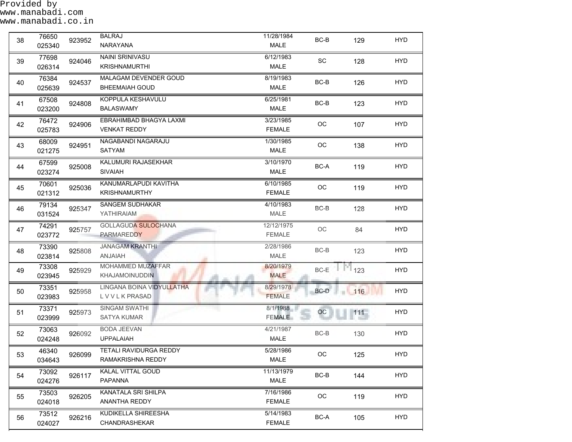| 38 | 76650<br>025340 | 923952 | <b>BALRAJ</b><br><b>NARAYANA</b>                | 11/28/1984<br><b>MALE</b>   | BC-B        | 129     | <b>HYD</b> |
|----|-----------------|--------|-------------------------------------------------|-----------------------------|-------------|---------|------------|
| 39 | 77698<br>026314 | 924046 | <b>NAINI SRINIVASU</b><br><b>KRISHNAMURTHI</b>  | 6/12/1983<br><b>MALE</b>    | SC          | 128     | <b>HYD</b> |
| 40 | 76384<br>025639 | 924537 | MALAGAM DEVENDER GOUD<br><b>BHEEMAIAH GOUD</b>  | 8/19/1983<br>MALE           | $BC-B$      | 126     | <b>HYD</b> |
| 41 | 67508<br>023200 | 924808 | KOPPULA KESHAVULU<br><b>BALASWAMY</b>           | 6/25/1981<br><b>MALE</b>    | BC-B        | 123     | <b>HYD</b> |
| 42 | 76472<br>025783 | 924906 | EBRAHIMBAD BHAGYA LAXMI<br><b>VENKAT REDDY</b>  | 3/23/1985<br><b>FEMALE</b>  | $_{\rm OC}$ | 107     | <b>HYD</b> |
| 43 | 68009<br>021275 | 924951 | NAGABANDI NAGARAJU<br>SATYAM                    | 1/30/1985<br>MALE           | OC          | 138     | <b>HYD</b> |
| 44 | 67599<br>023274 | 925008 | KALUMURI RAJASEKHAR<br><b>SIVAIAH</b>           | 3/10/1970<br>MALE           | BC-A        | 119     | <b>HYD</b> |
| 45 | 70601<br>021312 | 925036 | KANUMARLAPUDI KAVITHA<br><b>KRISHNAMURTHY</b>   | 6/10/1985<br><b>FEMALE</b>  | OC          | 119     | <b>HYD</b> |
| 46 | 79134<br>031524 | 925347 | <b>SANGEM SUDHAKAR</b><br>YATHIRAIAM            | 4/10/1983<br><b>MALE</b>    | $BC-B$      | 128     | <b>HYD</b> |
| 47 | 74291<br>023772 | 925757 | <b>GOLLAGUDA SULOCHANA</b><br><b>PARMAREDDY</b> | 12/12/1975<br><b>FEMALE</b> | OC          | 84      | <b>HYD</b> |
| 48 | 73390<br>023814 | 925808 | <b>JANAGAM KRANTHI</b><br><b>ANJAIAH</b>        | 2/28/1986<br><b>MALE</b>    | BC-B        | 123     | <b>HYD</b> |
| 49 | 73308<br>023945 | 925929 | MOHAMMED MUZAFFAR<br><b>KHAJAMOINUDDIN</b>      | 8/20/1979<br><b>MALE</b>    | BC-E        | 123     | <b>HYD</b> |
| 50 | 73351<br>023983 | 925958 | LINGANA BOINA VIDYULLATHA<br><b>LVVLKPRASAD</b> | 8/29/1978<br><b>FEMALE</b>  | BC-D<br>an. | 116     | <b>HYD</b> |
| 51 | 73371<br>023999 | 925973 | SINGAM SWATHI<br><b>SATYA KUMAR</b>             | 8/1/1988<br><b>FEMALE</b>   | OC          | $111 -$ | <b>HYD</b> |
| 52 | 73063<br>024248 | 926092 | <b>BODA JEEVAN</b><br><b>UPPALAIAH</b>          | 4/21/1987<br>MALE           | $BC-B$      | 130     | <b>HYD</b> |
| 53 | 46340<br>034643 | 926099 | TETALI RAVIDURGA REDDY<br>RAMAKRISHNA REDDY     | 5/28/1986<br>MALE           | OC          | 125     | <b>HYD</b> |
| 54 | 73092<br>024276 | 926117 | KALAL VITTAL GOUD<br>PAPANNA                    | 11/13/1979<br><b>MALE</b>   | $BC-B$      | 144     | <b>HYD</b> |
| 55 | 73503<br>024018 | 926205 | KANATALA SRI SHILPA<br>ANANTHA REDDY            | 7/16/1986<br><b>FEMALE</b>  | $_{\rm OC}$ | 119     | <b>HYD</b> |
| 56 | 73512<br>024027 | 926216 | KUDIKELLA SHIREESHA<br>CHANDRASHEKAR            | 5/14/1983<br><b>FEMALE</b>  | BC-A        | 105     | <b>HYD</b> |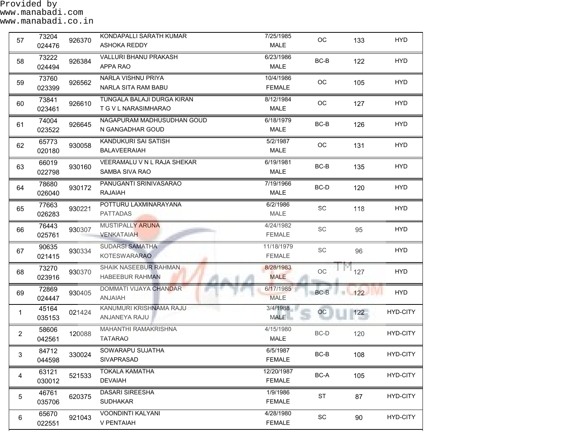| 57             | 73204<br>024476 | 926370 | KONDAPALLI SARATH KUMAR<br>ASHOKA REDDY            | 7/25/1985<br><b>MALE</b>    | OC                           | 133     | <b>HYD</b>      |
|----------------|-----------------|--------|----------------------------------------------------|-----------------------------|------------------------------|---------|-----------------|
| 58             | 73222<br>024494 | 926384 | VALLURI BHANU PRAKASH<br>APPA RAO                  | 6/23/1986<br><b>MALE</b>    | $BC-B$                       | 122     | <b>HYD</b>      |
| 59             | 73760<br>023399 | 926562 | NARLA VISHNU PRIYA<br>NARLA SITA RAM BABU          | 10/4/1986<br><b>FEMALE</b>  | OC                           | 105     | <b>HYD</b>      |
| 60             | 73841<br>023461 | 926610 | TUNGALA BALAJI DURGA KIRAN<br>T G V L NARASIMHARAO | 8/12/1984<br>MALE           | OC                           | 127     | <b>HYD</b>      |
| 61             | 74004<br>023522 | 926645 | NAGAPURAM MADHUSUDHAN GOUD<br>N GANGADHAR GOUD     | 6/18/1979<br>MALE           | BC-B                         | 126     | <b>HYD</b>      |
| 62             | 65773<br>020180 | 930058 | KANDUKURI SAI SATISH<br><b>BALAVEERAIAH</b>        | 5/2/1987<br>MALE            | OC                           | 131     | <b>HYD</b>      |
| 63             | 66019<br>022798 | 930160 | VEERAMALU V N L RAJA SHEKAR<br>SAMBA SIVA RAO      | 6/19/1981<br><b>MALE</b>    | $BC-B$                       | 135     | <b>HYD</b>      |
| 64             | 78680<br>026040 | 930172 | PANUGANTI SRINIVASARAO<br>RAJAIAH                  | 7/19/1966<br><b>MALE</b>    | BC-D                         | 120     | HYD.            |
| 65             | 77663<br>026283 | 930221 | POTTURU LAXMINARAYANA<br><b>PATTADAS</b>           | 6/2/1986<br>MALE            | SC                           | 118     | <b>HYD</b>      |
| 66             | 76443<br>025761 | 930307 | MUSTIPALLY ARUNA<br><b>VENKATAIAH</b>              | 4/24/1982<br><b>FEMALE</b>  | SC                           | 95      | <b>HYD</b>      |
| 67             | 90635<br>021415 | 930334 | <b>SUDARSI SAMATHA</b><br><b>KOTESWARARAO</b>      | 11/18/1979<br><b>FEMALE</b> | SC                           | 96      | <b>HYD</b>      |
| 68             | 73270<br>023916 | 930370 | SHAIK NASEEBUR RAHMAN<br><b>HABEEBUR RAHMAN</b>    | 8/28/1983<br><b>MALE</b>    | OC                           | 127     | <b>HYD</b>      |
| 69             | 72869<br>024447 | 930405 | DOMMATI VIJAYA CHANDAR<br>HAIANA                   | 6/17/1985<br><b>MALE</b>    | $BC-B$                       | 122     | <b>HYD</b>      |
| $\mathbf 1$    | 45164<br>035153 | 021424 | KANUMURI KRISHNAMA RAJU<br>ANJANEYA RAJU           | 3/4/1988<br><b>MALE</b>     | OC                           | $122 -$ | HYD-CITY        |
| $\overline{2}$ | 58606<br>042561 | 120088 | MAHANTHI RAMAKRISHNA<br><b>TATARAO</b>             | 4/15/1980<br>MALE           | BC-D                         | 120     | HYD-CITY        |
| 3              | 84712<br>044598 | 330024 | SOWARAPU SUJATHA<br>SIVAPRASAD                     | 6/5/1987<br><b>FEMALE</b>   | BC-B                         | 108     | <b>HYD-CITY</b> |
| $\overline{4}$ | 63121<br>030012 | 521533 | <b>TOKALA KAMATHA</b><br><b>DEVAIAH</b>            | 12/20/1987<br><b>FEMALE</b> | BC-A                         | 105     | HYD-CITY        |
| 5              | 46761<br>035706 | 620375 | DASARI SIREESHA<br><b>SUDHAKAR</b>                 | 1/9/1986<br><b>FEMALE</b>   | <b>ST</b>                    | 87      | HYD-CITY        |
| 6              | 65670<br>022551 | 921043 | VOONDINTI KALYANI<br>V PENTAIAH                    | 4/28/1980<br><b>FEMALE</b>  | $\operatorname{\textsf{SC}}$ | 90      | HYD-CITY        |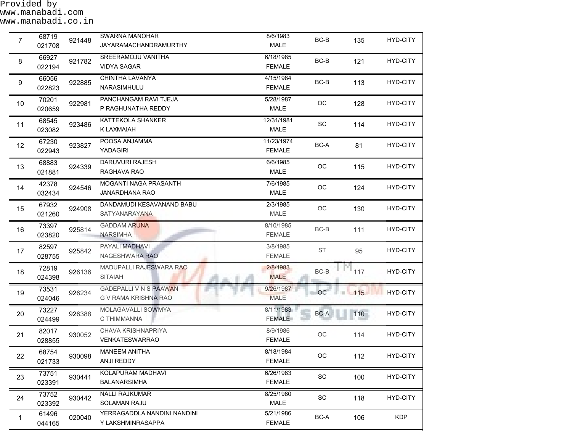| $\overline{7}$  | 68719<br>021708 | 921448 | SWARNA MANOHAR<br><b>JAYARAMACHANDRAMURTHY</b>        | 8/6/1983<br>MALE            | BC-B                         | 135      | HYD-CITY        |
|-----------------|-----------------|--------|-------------------------------------------------------|-----------------------------|------------------------------|----------|-----------------|
| 8               | 66927<br>022194 | 921782 | SREERAMOJU VANITHA<br><b>VIDYA SAGAR</b>              | 6/18/1985<br><b>FEMALE</b>  | BC-B                         | 121      | HYD-CITY        |
| 9               | 66056<br>022823 | 922885 | CHINTHA LAVANYA<br>NARASIMHULU                        | 4/15/1984<br><b>FEMALE</b>  | BC-B                         | 113      | HYD-CITY        |
| 10 <sup>1</sup> | 70201<br>020659 | 922981 | PANCHANGAM RAVI TJEJA<br>P RAGHUNATHA REDDY           | 5/28/1987<br><b>MALE</b>    | OC                           | 128      | <b>HYD-CITY</b> |
| 11              | 68545<br>023082 | 923486 | KATTEKOLA SHANKER<br>K LAXMAIAH                       | 12/31/1981<br><b>MALE</b>   | SC                           | 114      | <b>HYD-CITY</b> |
| 12              | 67230<br>022943 | 923827 | POOSA ANJAMMA<br>YADAGIRI                             | 11/23/1974<br><b>FEMALE</b> | BC-A                         | 81       | <b>HYD-CITY</b> |
| 13              | 68883<br>021881 | 924339 | DARUVURI RAJESH<br>RAGHAVA RAO                        | 6/6/1985<br>MALE            | $_{\rm OC}$                  | 115      | HYD-CITY        |
| 14              | 42378<br>032434 | 924546 | MOGANTI NAGA PRASANTH<br><b>JANARDHANA RAO</b>        | 7/6/1985<br>MALE            | OC                           | 124      | <b>HYD-CITY</b> |
| 15              | 67932<br>021260 | 924908 | DANDAMUDI KESAVANAND BABU<br>SATYANARAYANA            | 2/3/1985<br><b>MALE</b>     | $_{\rm OC}$                  | 130      | HYD-CITY        |
| 16              | 73397<br>023820 | 925814 | <b>GADDAM ARUNA</b><br><b>NARSIMHA</b>                | 8/10/1985<br><b>FEMALE</b>  | BC-B                         | 111      | HYD-CITY        |
| 17              | 82597<br>028755 | 925842 | PAYALI MADHAVI<br>NAGESHWARA RAO                      | 3/8/1985<br><b>FEMALE</b>   | <b>ST</b>                    | 95       | HYD-CITY        |
| 18              | 72819<br>024398 | 926136 | MADUPALLI RAJESWARA RAO<br>SITAIAH                    | 2/8/1983<br><b>MALE</b>     | $BC-B$                       | 117      | HYD-CITY        |
| 19              | 73531<br>024046 | 926234 | <b>GADEPALLI V N S PAAWAN</b><br>G V RAMA KRISHNA RAO | 9/26/1987<br><b>MALE</b>    | OC                           | 115<br>в | <b>HYD-CITY</b> |
| 20              | 73227<br>024499 | 926388 | MOLAGAVALLI SOWMYA<br>C THIMMANNA                     | 8/11/1983<br><b>FEMALE</b>  | BC-A                         | $110 -$  | HYD-CITY        |
| 21              | 82017<br>028855 | 930052 | CHAVA KRISHNAPRIYA<br><b>VENKATESWARRAO</b>           | 8/9/1986<br><b>FEMALE</b>   | OC                           | 114      | HYD-CITY        |
| 22              | 68754<br>021733 | 930098 | <b>MANEEM ANITHA</b><br>ANJI REDDY                    | 8/18/1984<br><b>FEMALE</b>  | OC                           | 112      | HYD-CITY        |
| 23              | 73751<br>023391 | 930441 | KOLAPURAM MADHAVI<br><b>BALANARSIMHA</b>              | 6/26/1983<br><b>FEMALE</b>  | $\operatorname{\textsf{SC}}$ | 100      | HYD-CITY        |
| 24              | 73752<br>023392 | 930442 | <b>NALLI RAJKUMAR</b><br>SOLAMAN RAJU                 | 8/25/1980<br>MALE           | SC                           | 118      | HYD-CITY        |
| $\mathbf{1}$    | 61496<br>044165 | 020040 | YERRAGADDLA NANDINI NANDINI<br>Y LAKSHMINRASAPPA      | 5/21/1986<br><b>FEMALE</b>  | BC-A                         | 106      | <b>KDP</b>      |

┙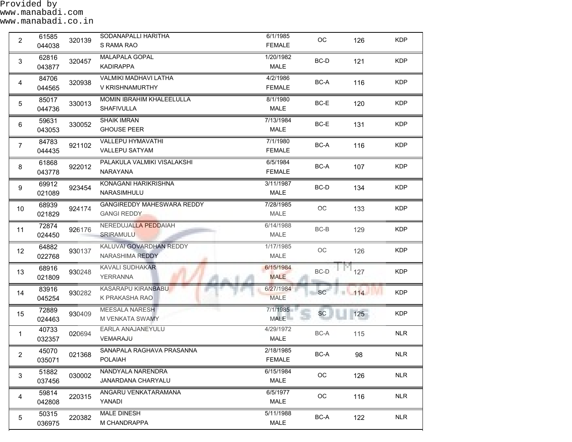Provided by www.manabadi.com www.manabadi.co.in

| $\overline{2}$ | 61585<br>044038 | 320139 | SODANAPALLI HARITHA<br>S RAMA RAO                       | 6/1/1985<br><b>FEMALE</b>  | OC                         | 126                       | <b>KDP</b> |
|----------------|-----------------|--------|---------------------------------------------------------|----------------------------|----------------------------|---------------------------|------------|
| 3              | 62816<br>043877 | 320457 | <b>MALAPALA GOPAL</b><br><b>KADIRAPPA</b>               | 1/20/1982<br>MALE          | BC-D                       | 121                       | <b>KDP</b> |
| 4              | 84706<br>044565 | 320938 | <b>VALMIKI MADHAVI LATHA</b><br>V KRISHNAMURTHY         | 4/2/1986<br><b>FEMALE</b>  | BC-A                       | 116                       | <b>KDP</b> |
| 5              | 85017<br>044736 | 330013 | <b>MOMIN IBRAHIM KHALEELULLA</b><br><b>SHAFIVULLA</b>   | 8/1/1980<br>MALE           | BC-E                       | 120                       | <b>KDP</b> |
| 6              | 59631<br>043053 | 330052 | <b>SHAIK IMRAN</b><br><b>GHOUSE PEER</b>                | 7/13/1984<br>MALE          | BC-E                       | 131                       | <b>KDP</b> |
| $\overline{7}$ | 84783<br>044435 | 921102 | <b>VALLEPU HYMAVATHI</b><br><b>VALLEPU SATYAM</b>       | 7/1/1980<br><b>FEMALE</b>  | BC-A                       | 116                       | <b>KDP</b> |
| 8              | 61868<br>043778 | 922012 | PALAKULA VALMIKI VISALAKSHI<br>NARAYANA                 | 6/5/1984<br><b>FEMALE</b>  | BC-A                       | 107                       | <b>KDP</b> |
| 9              | 69912<br>021089 | 923454 | KONAGANI HARIKRISHNA<br>NARASIMHULU                     | 3/11/1987<br>MALE          | BC-D                       | 134                       | <b>KDP</b> |
| 10             | 68939<br>021829 | 924174 | <b>GANGIREDDY MAHESWARA REDDY</b><br><b>GANGI REDDY</b> | 7/28/1985<br>MALE          | OC                         | 133                       | <b>KDP</b> |
| 11             | 72874<br>024450 | 926176 | NEREDUJALLA PEDDAIAH<br><b>SRIRAMULU</b>                | 6/14/1988<br>MALE          | BC-B                       | 129                       | <b>KDP</b> |
| 12             | 64882<br>022768 | 930137 | KALUVAI GOVARDHAN REDDY<br>NARASHIMA REDDY              | 1/17/1985<br>MALE          | $\mathop{\rm OC}\nolimits$ | 126                       | <b>KDP</b> |
| 13             | 68916<br>021809 | 930248 | <b>KAVALI SUDHAKAR</b><br>YERRANNA                      | 6/15/1984<br><b>MALE</b>   | BC-D                       | $\Gamma$ <sup>1</sup> 127 | <b>KDP</b> |
| 14             | 83916<br>045254 | 930282 | KASARAPU KIRANBABU<br>K PRAKASHA RAO                    | 6/27/1984<br><b>MALE</b>   | <b>SC</b>                  | 114                       | <b>KDP</b> |
| 15             | 72889<br>024463 | 930409 | <b>MEESALA NARESH</b><br>M VENKATA SWAMY                | 7/1/1985<br><b>MALE</b>    | <b>SC</b>                  | 125                       | <b>KDP</b> |
| 1              | 40733<br>032357 | 020694 | EARLA ANAJANEYULU<br>VEMARAJU                           | 4/29/1972<br>MALE          | BC-A                       | 115                       | <b>NLR</b> |
| $\overline{2}$ | 45070<br>035071 | 021368 | SANAPALA RAGHAVA PRASANNA<br><b>POLAIAH</b>             | 2/18/1985<br><b>FEMALE</b> | BC-A                       | 98                        | <b>NLR</b> |
| $\mathbf{3}$   | 51882<br>037456 | 030002 | NANDYALA NARENDRA<br>JANARDANA CHARYALU                 | 6/15/1984<br>MALE          | $_{\rm OC}$                | 126                       | <b>NLR</b> |
| 4              | 59814<br>042808 | 220315 | ANGARU VENKATARAMANA<br>YANADI                          | 6/5/1977<br>MALE           | $_{\rm OC}$                | 116                       | <b>NLR</b> |
| 5              | 50315<br>036975 | 220382 | <b>MALE DINESH</b><br>M CHANDRAPPA                      | 5/11/1988<br><b>MALE</b>   | BC-A                       | 122                       | <b>NLR</b> |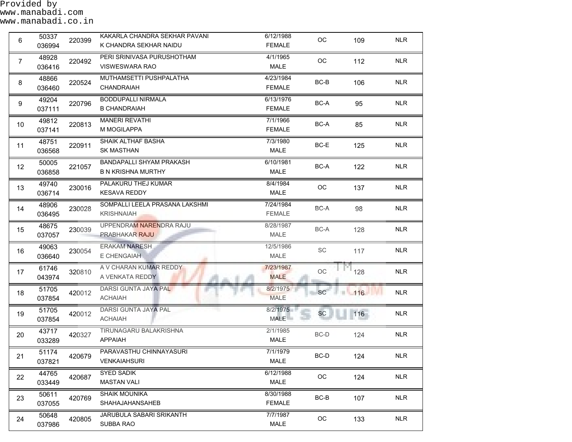| 6              | 50337<br>036994 | 220399 | KAKARLA CHANDRA SEKHAR PAVANI<br>K CHANDRA SEKHAR NAIDU | 6/12/1988<br><b>FEMALE</b> | OC          | 109 | <b>NLR</b> |
|----------------|-----------------|--------|---------------------------------------------------------|----------------------------|-------------|-----|------------|
| $\overline{7}$ | 48928<br>036416 | 220492 | PERI SRINIVASA PURUSHOTHAM<br><b>VISWESWARA RAO</b>     | 4/1/1965<br>MALE           | ОC          | 112 | <b>NLR</b> |
| 8              | 48866<br>036460 | 220524 | MUTHAMSETTI PUSHPALATHA<br><b>CHANDRAIAH</b>            | 4/23/1984<br><b>FEMALE</b> | $BC-B$      | 106 | <b>NLR</b> |
| 9              | 49204<br>037111 | 220796 | <b>BODDUPALLI NIRMALA</b><br><b>B CHANDRAIAH</b>        | 6/13/1976<br><b>FEMALE</b> | BC-A        | 95  | <b>NLR</b> |
| 10             | 49812<br>037141 | 220813 | <b>MANERI REVATHI</b><br>M MOGILAPPA                    | 7/1/1966<br><b>FEMALE</b>  | BC-A        | 85  | <b>NLR</b> |
| 11             | 48751<br>036568 | 220911 | SHAIK ALTHAF BASHA<br><b>SK MASTHAN</b>                 | 7/3/1980<br><b>MALE</b>    | $BC-E$      | 125 | <b>NLR</b> |
| 12             | 50005<br>036858 | 221057 | BANDAPALLI SHYAM PRAKASH<br><b>B N KRISHNA MURTHY</b>   | 6/10/1981<br><b>MALE</b>   | BC-A        | 122 | <b>NLR</b> |
| 13             | 49740<br>036714 | 230016 | PALAKURU THEJ KUMAR<br><b>KESAVA REDDY</b>              | 8/4/1984<br>MALE           | OC          | 137 | <b>NLR</b> |
| 14             | 48906<br>036495 | 230028 | SOMPALLI LEELA PRASANA LAKSHMI<br><b>KRISHNAIAH</b>     | 7/24/1984<br><b>FEMALE</b> | BC-A        | 98  | <b>NLR</b> |
| 15             | 48675<br>037057 | 230039 | UPPENDRAM NARENDRA RAJU<br>PRABHAKAR RAJU               | 8/28/1987<br>MALE          | BC-A        | 128 | <b>NLR</b> |
| 16             | 49063<br>036640 | 230054 | <b>ERAKAM NARESH</b><br>E CHENGAIAH                     | 12/5/1986<br>MALE          | SC          | 117 | <b>NLR</b> |
| 17             | 61746<br>043974 | 320810 | A V CHARAN KUMAR REDDY<br>A VENKATA REDDY               | 7/23/1987<br><b>MALE</b>   | $_{\rm OC}$ | 128 | <b>NLR</b> |
| 18             | 51705<br>037854 | 420012 | DARSI GUNTA JAYA PAL<br><b>ACHAIAH</b>                  | 8/2/1975<br><b>MALE</b>    | <b>SC</b>   | 116 | <b>NLR</b> |
| 19             | 51705<br>037854 | 420012 | DARSI GUNTA JAYA PAL<br><b>ACHAIAH</b>                  | 8/2/1975<br><b>MALE</b>    | SC          | 116 | <b>NLR</b> |
| 20             | 43717<br>033289 | 420327 | TIRUNAGARU BALAKRISHNA<br><b>APPAIAH</b>                | 2/1/1985<br>MALE           | BC-D        | 124 | <b>NLR</b> |
| 21             | 51174<br>037821 | 420679 | PARAVASTHU CHINNAYASURI<br><b>VENKAIAHSURI</b>          | 7/1/1979<br><b>MALE</b>    | BC-D        | 124 | <b>NLR</b> |
| 22             | 44765<br>033449 | 420687 | <b>SYED SADIK</b><br><b>MASTAN VALI</b>                 | 6/12/1988<br>MALE          | OC          | 124 | <b>NLR</b> |
| 23             | 50611<br>037055 | 420769 | SHAIK MOUNIKA<br><b>SHAHAJAHANSAHEB</b>                 | 8/30/1988<br><b>FEMALE</b> | BC-B        | 107 | <b>NLR</b> |
| 24             | 50648<br>037986 | 420805 | JARUBULA SABARI SRIKANTH<br>SUBBA RAO                   | 7/7/1987<br>MALE           | $_{\rm OC}$ | 133 | <b>NLR</b> |

 $\mathcal{L}_{\mathcal{A}}$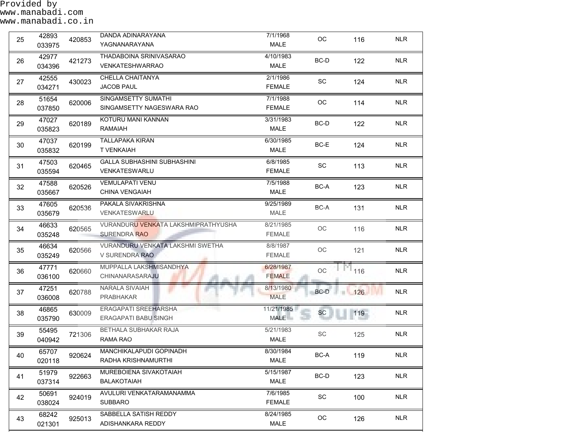Provided by www.manabadi.com www.manabadi.co.in

| 25 | 42893<br>033975 | 420853 | DANDA ADINARAYANA<br>YAGNANARAYANA                         | 7/1/1968<br>MALE           | OC                         | 116 | <b>NLR</b> |
|----|-----------------|--------|------------------------------------------------------------|----------------------------|----------------------------|-----|------------|
| 26 | 42977<br>034396 | 421273 | THADABOINA SRINIVASARAO<br><b>VENKATESHWARRAO</b>          | 4/10/1983<br><b>MALE</b>   | $BC-D$                     | 122 | <b>NLR</b> |
| 27 | 42555<br>034271 | 430023 | CHELLA CHAITANYA<br><b>JACOB PAUL</b>                      | 2/1/1986<br><b>FEMALE</b>  | SC                         | 124 | <b>NLR</b> |
| 28 | 51654<br>037850 | 620006 | SINGAMSETTY SUMATHI<br>SINGAMSETTY NAGESWARA RAO           | 7/1/1988<br><b>FEMALE</b>  | OC                         | 114 | <b>NLR</b> |
| 29 | 47027<br>035823 | 620189 | KOTURU MANI KANNAN<br><b>RAMAIAH</b>                       | 3/31/1983<br><b>MALE</b>   | BC-D                       | 122 | <b>NLR</b> |
| 30 | 47037<br>035832 | 620199 | <b>TALLAPAKA KIRAN</b><br><b>T VENKAIAH</b>                | 6/30/1985<br><b>MALE</b>   | BC-E                       | 124 | <b>NLR</b> |
| 31 | 47503<br>035594 | 620465 | <b>GALLA SUBHASHINI SUBHASHINI</b><br>VENKATESWARLU        | 6/8/1985<br><b>FEMALE</b>  | SC                         | 113 | <b>NLR</b> |
| 32 | 47588<br>035667 | 620526 | <b>VEMULAPATI VENU</b><br><b>CHINA VENGAIAH</b>            | 7/5/1988<br>MALE           | BC-A                       | 123 | <b>NLR</b> |
| 33 | 47605<br>035679 | 620536 | PAKALA SIVAKRISHNA<br><b>VENKATESWARLU</b>                 | 9/25/1989<br>MALE          | BC-A                       | 131 | <b>NLR</b> |
| 34 | 46633<br>035248 | 620565 | VURANDURU VENKATA LAKSHMIPRATHYUSHA<br><b>SURENDRA RAO</b> | 8/21/1985<br><b>FEMALE</b> | $\mathop{\rm OC}\nolimits$ | 116 | <b>NLR</b> |
| 35 | 46634<br>035249 | 620566 | VURANDURU VENKATA LAKSHMI SWETHA<br>V SURENDRA RAO         | 8/8/1987<br><b>FEMALE</b>  | OC                         | 121 | <b>NLR</b> |
| 36 | 47771<br>036100 | 620660 | MUPPALLA LAKSHMISANDHYA<br>CHINANARASARAJU                 | 6/28/1987<br><b>FEMALE</b> | OC                         | 116 | <b>NLR</b> |
| 37 | 47251<br>036008 | 620788 | NARALA SIVAIAH<br><b>PRABHAKAR</b>                         | 8/13/1980<br><b>MALE</b>   | BC-D                       | 126 | <b>NLR</b> |
| 38 | 46865<br>035790 | 630009 | ERAGAPATI SREEHARSHA<br><b>ERAGAPATI BABU SINGH</b>        | 11/21/1985<br><b>MALE</b>  | <b>SC</b>                  | 119 | <b>NLR</b> |
| 39 | 55495<br>040942 | 721306 | BETHALA SUBHAKAR RAJA<br>RAMA RAO                          | 5/21/1983<br>MALE          | SC                         | 125 | <b>NLR</b> |
| 40 | 65707<br>020118 | 920624 | MANCHIKALAPUDI GOPINADH<br>RADHA KRISHNAMURTHI             | 8/30/1984<br><b>MALE</b>   | BC-A                       | 119 | <b>NLR</b> |
| 41 | 51979<br>037314 | 922663 | MUREBOIENA SIVAKOTAIAH<br><b>BALAKOTAIAH</b>               | 5/15/1987<br>MALE          | BC-D                       | 123 | <b>NLR</b> |
| 42 | 50691<br>038024 | 924019 | AVULURI VENKATARAMANAMMA<br><b>SUBBARO</b>                 | 7/6/1985<br><b>FEMALE</b>  | SC                         | 100 | <b>NLR</b> |
| 43 | 68242<br>021301 | 925013 | SABBELLA SATISH REDDY<br>ADISHANKARA REDDY                 | 8/24/1985<br><b>MALE</b>   | $_{\rm OC}$                | 126 | <b>NLR</b> |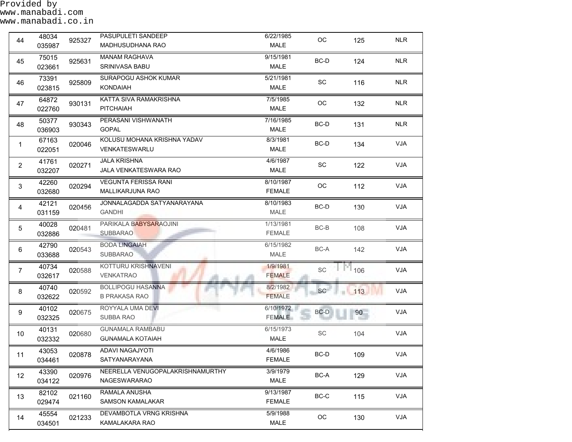| 44              | 48034<br>035987 | 925327 | PASUPULETI SANDEEP<br>MADHUSUDHANA RAO             | 6/22/1985<br><b>MALE</b>   | $_{\rm OC}$                 | 125                | <b>NLR</b> |
|-----------------|-----------------|--------|----------------------------------------------------|----------------------------|-----------------------------|--------------------|------------|
| 45              | 75015<br>023661 | 925631 | <b>MANAM RAGHAVA</b><br>SRINIVASA BABU             | 9/15/1981<br><b>MALE</b>   | BC-D                        | 124                | <b>NLR</b> |
| 46              | 73391<br>023815 | 925809 | <b>SURAPOGU ASHOK KUMAR</b><br><b>KONDAIAH</b>     | 5/21/1981<br><b>MALE</b>   | SC                          | 116                | <b>NLR</b> |
| 47              | 64872<br>022760 | 930131 | KATTA SIVA RAMAKRISHNA<br><b>PITCHAIAH</b>         | 7/5/1985<br><b>MALE</b>    | OC                          | 132                | <b>NLR</b> |
| 48              | 50377<br>036903 | 930343 | PERASANI VISHWANATH<br><b>GOPAL</b>                | 7/16/1985<br><b>MALE</b>   | BC-D                        | 131                | <b>NLR</b> |
| 1               | 67163<br>022051 | 020046 | KOLUSU MOHANA KRISHNA YADAV<br>VENKATESWARLU       | 8/3/1981<br><b>MALE</b>    | BC-D                        | 134                | <b>VJA</b> |
| $\overline{2}$  | 41761<br>032207 | 020271 | <b>JALA KRISHNA</b><br>JALA VENKATESWARA RAO       | 4/6/1987<br><b>MALE</b>    | SC                          | 122                | <b>VJA</b> |
| $\mathfrak{S}$  | 42260<br>032680 | 020294 | <b>VEGUNTA FERISSA RANI</b><br>MALLIKARJUNA RAO    | 8/10/1987<br><b>FEMALE</b> | OC                          | 112                | <b>VJA</b> |
| 4               | 42121<br>031159 | 020456 | JONNALAGADDA SATYANARAYANA<br><b>GANDHI</b>        | 8/10/1983<br>MALE          | BC-D                        | 130                | <b>VJA</b> |
| 5               | 40028<br>032886 | 020481 | PARIKALA BABYSARAOJINI<br><b>SUBBARAO</b>          | 1/13/1981<br><b>FEMALE</b> | $BC-B$                      | 108                | <b>VJA</b> |
| 6               | 42790<br>033688 | 020543 | <b>BODA LINGAIAH</b><br>SUBBARAO                   | 6/15/1982<br><b>MALE</b>   | BC-A                        | 142                | <b>VJA</b> |
| $\overline{7}$  | 40734<br>032617 | 020588 | KOTTURU KRISHNAVENI<br><b>VENKATRAO</b>            | 1/9/1981<br><b>FEMALE</b>  | SC                          | 106                | <b>VJA</b> |
| 8               | 40740<br>032622 | 020592 | <b>BOLLIPOGU HASANNA</b><br><b>B PRAKASA RAO</b>   | 8/2/1982<br><b>FEMALE</b>  | <b>SC</b>                   | $\blacksquare$ 113 | <b>VJA</b> |
| 9               | 40102<br>032325 | 020675 | ROYYALA UMA DEVI<br>SUBBA RAO                      | 6/10/1972<br><b>FEMALE</b> | BC-D                        | 90                 | <b>VJA</b> |
| 10              | 40131<br>032332 | 020680 | <b>GUNAMALA RAMBABU</b><br><b>GUNAMALA KOTAIAH</b> | 6/15/1973<br>MALE          | $\protect\operatorname{SC}$ | 104                | <b>VJA</b> |
| 11              | 43053<br>034461 | 020878 | ADAVI NAGAJYOTI<br>SATYANARAYANA                   | 4/6/1986<br><b>FEMALE</b>  | BC-D                        | 109                | VJA        |
| 12 <sup>2</sup> | 43390<br>034122 | 020976 | NEERELLA VENUGOPALAKRISHNAMURTHY<br>NAGESWARARAO   | 3/9/1979<br>MALE           | BC-A                        | 129                | VJA        |
| 13              | 82102<br>029474 | 021160 | RAMALA ANUSHA<br><b>SAMSON KAMALAKAR</b>           | 9/13/1987<br><b>FEMALE</b> | BC-C                        | 115                | VJA        |
| 14              | 45554<br>034501 | 021233 | DEVAMBOTLA VRNG KRISHNA<br>KAMALAKARA RAO          | 5/9/1988<br><b>MALE</b>    | $_{\rm OC}$                 | 130                | VJA        |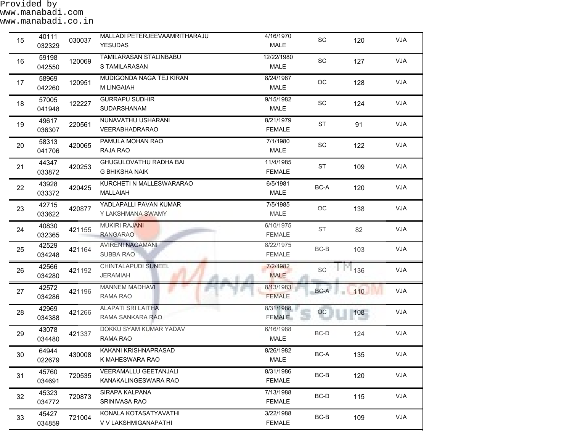| 15 | 40111<br>032329 | 030037 | MALLADI PETERJEEVAAMRITHARAJU<br><b>YESUDAS</b>      | 4/16/1970<br><b>MALE</b>   | SC        | 120 | <b>VJA</b> |
|----|-----------------|--------|------------------------------------------------------|----------------------------|-----------|-----|------------|
| 16 | 59198<br>042550 | 120069 | TAMILARASAN STALINBABU<br>S TAMILARASAN              | 12/22/1980<br>MALE         | SC        | 127 | <b>VJA</b> |
| 17 | 58969<br>042260 | 120951 | MUDIGONDA NAGA TEJ KIRAN<br>M LINGAIAH               | 8/24/1987<br>MALE          | OC        | 128 | VJA        |
| 18 | 57005<br>041948 | 122227 | <b>GURRAPU SUDHIR</b><br>SUDARSHANAM                 | 9/15/1982<br><b>MALE</b>   | SC        | 124 | VJA        |
| 19 | 49617<br>036307 | 220561 | NUNAVATHU USHARANI<br>VEERABHADRARAO                 | 8/21/1979<br><b>FEMALE</b> | <b>ST</b> | 91  | VJA        |
| 20 | 58313<br>041706 | 420065 | PAMULA MOHAN RAO<br>RAJA RAO                         | 7/1/1980<br>MALE           | SC        | 122 | VJA        |
| 21 | 44347<br>033872 | 420253 | GHUGULOVATHU RADHA BAI<br><b>G BHIKSHA NAIK</b>      | 11/4/1985<br><b>FEMALE</b> | ST        | 109 | VJA        |
| 22 | 43928<br>033372 | 420425 | KURCHETI N MALLESWARARAO<br><b>MALLAIAH</b>          | 6/5/1981<br>MALE           | BC-A      | 120 | <b>VJA</b> |
| 23 | 42715<br>033622 | 420877 | YADLAPALLI PAVAN KUMAR<br>Y LAKSHMANA SWAMY          | 7/5/1985<br>MALE           | OC        | 138 | <b>VJA</b> |
| 24 | 40830<br>032365 | 421155 | <b>MUKIRI RAJANI</b><br><b>RANGARAO</b>              | 6/10/1975<br><b>FEMALE</b> | ST        | 82  | <b>VJA</b> |
| 25 | 42529<br>034248 | 421164 | <b>AVIRENI NAGAMANI</b><br><b>SUBBA RAO</b>          | 8/22/1975<br><b>FEMALE</b> | BC-B      | 103 | <b>VJA</b> |
| 26 | 42566<br>034280 | 421192 | CHINTALAPUDI SUNEEL<br><b>JERAMIAH</b>               | 7/2/1982<br><b>MALE</b>    | SC        | 136 | VJA        |
| 27 | 42572<br>034286 | 421196 | <b>MANNEM MADHAVI</b><br>RAMA RAO                    | 8/13/1983<br><b>FEMALE</b> | BC-A      | 110 | <b>VJA</b> |
| 28 | 42969<br>034388 | 421266 | <b>ALAPATI SRI LAITHA</b><br>RAMA SANKARA RAO        | 8/31/1988<br><b>FEMALE</b> | OC        | 108 | VJA        |
| 29 | 43078<br>034480 | 421337 | DOKKU SYAM KUMAR YADAV<br>RAMA RAO                   | 6/16/1988<br>MALE          | BC-D      | 124 | <b>VJA</b> |
| 30 | 64944<br>022679 | 430008 | KAKANI KRISHNAPRASAD<br>K MAHESWARA RAO              | 8/26/1982<br>MALE          | BC-A      | 135 | VJA        |
| 31 | 45760<br>034691 | 720535 | <b>VEERAMALLU GEETANJALI</b><br>KANAKALINGESWARA RAO | 8/31/1986<br><b>FEMALE</b> | BC-B      | 120 | VJA        |
| 32 | 45323<br>034772 | 720873 | SIRAPA KALPANA<br>SRINIVASA RAO                      | 7/13/1988<br><b>FEMALE</b> | BC-D      | 115 | VJA        |
| 33 | 45427<br>034859 | 721004 | KONALA KOTASATYAVATHI<br>V V LAKSHMIGANAPATHI        | 3/22/1988<br><b>FEMALE</b> | $BC-B$    | 109 | VJA        |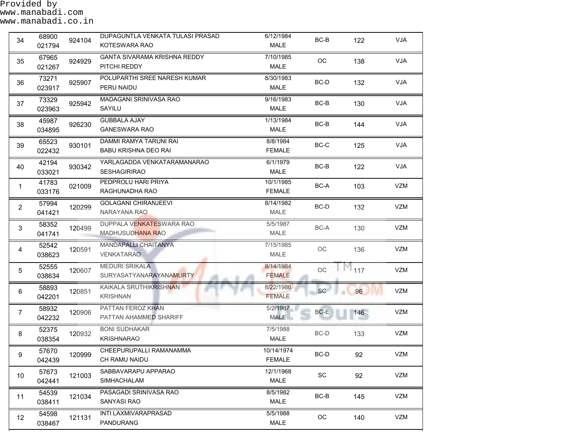| 34             | 68900<br>021794 | 924104 | DUPAGUNTLA VENKATA TULASI PRASAD<br>KOTESWARA RAO     | 6/12/1984<br><b>MALE</b>    | BC-B                         | 122 | <b>VJA</b> |
|----------------|-----------------|--------|-------------------------------------------------------|-----------------------------|------------------------------|-----|------------|
| 35             | 67965<br>021267 | 924929 | <b>GANTA SIVARAMA KRISHNA REDDY</b><br>PITCHI REDDY   | 7/10/1985<br><b>MALE</b>    | OC                           | 138 | VJA        |
| 36             | 73271<br>023917 | 925907 | POLUPARTHI SREE NARESH KUMAR<br>PERU NAIDU            | 8/30/1983<br><b>MALE</b>    | BC-D                         | 132 | <b>VJA</b> |
| 37             | 73329<br>023963 | 925942 | MADAGANI SRINIVASA RAO<br>SAYILU                      | 9/16/1983<br>MALE           | BC-B                         | 130 | <b>VJA</b> |
| 38             | 45987<br>034895 | 926230 | <b>GUBBALA AJAY</b><br><b>GANESWARA RAO</b>           | 1/13/1984<br>MALE           | BC-B                         | 144 | <b>VJA</b> |
| 39             | 65523<br>022432 | 930101 | DAMMI RAMYA TARUNI RAI<br><b>BABU KRISHNA DEO RAI</b> | 8/8/1984<br><b>FEMALE</b>   | BC-C                         | 125 | <b>VJA</b> |
| 40             | 42194<br>033021 | 930342 | YARLAGADDA VENKATARAMANARAO<br><b>SESHAGIRIRAO</b>    | 6/1/1979<br><b>MALE</b>     | BC-B                         | 122 | VJA        |
| $\mathbf{1}$   | 41783<br>033176 | 021009 | PEDPROLU HARI PRIYA<br>RAGHUNADHA RAO                 | 10/1/1985<br><b>FEMALE</b>  | BC-A                         | 103 | VZM        |
| $\overline{2}$ | 57994<br>041421 | 120299 | <b>GOLAGANI CHIRANJEEVI</b><br>NARAYANA RAO           | 8/14/1982<br>MALE           | BC-D                         | 132 | VZM        |
| 3              | 58352<br>041741 | 120499 | DUPPALA VENKATESWARA RAO<br>MADHUSUDHANA RAO          | 5/5/1987<br>MALE            | BC-A                         | 130 | VZM        |
| 4              | 52542<br>038623 | 120591 | MANDAPALLI CHAITANYA<br><b>VENKATARAO</b>             | 7/15/1985<br>MALE           | OC                           | 136 | VZM        |
| 5              | 52555<br>038634 | 120607 | <b>MEDURI SRIKALA</b><br>SURYASATYANARAYANAMURTY      | 8/14/1984<br><b>FEMALE</b>  | OC                           | 117 | VZM        |
| $\,6\,$        | 58893<br>042201 | 120851 | KAIKALA SRUTHIKRISHNAN<br><b>KRISHNAN</b>             | 8/22/1986<br><b>FEMALE</b>  | SC                           | 96  | VZM        |
| $\overline{7}$ | 58932<br>042232 | 120906 | PATTAN FEROZ KHAN<br>PATTAN AHAMMED SHARIFF           | 5/2/1987<br><b>MALE</b>     | BC-E                         | 146 | VZM        |
| 8              | 52375<br>038354 | 120932 | <b>BONI SUDHAKAR</b><br><b>KRISHNARAO</b>             | 7/5/1988<br>MALE            | BC-D                         | 133 | VZM        |
| 9              | 57670<br>042439 | 120999 | CHEEPURUPALLI RAMANAMMA<br>CH RAMU NAIDU              | 10/14/1974<br><b>FEMALE</b> | BC-D                         | 92  | VZM        |
| 10             | 57673<br>042441 | 121003 | SABBAVARAPU APPARAO<br><b>SIMHACHALAM</b>             | 12/1/1968<br>MALE           | $\operatorname{\textsf{SC}}$ | 92  | <b>VZM</b> |
| 11             | 54539<br>038411 | 121034 | PASAGADI SRINIVASA RAO<br><b>SANYASI RAO</b>          | 8/5/1982<br>MALE            | BC-B                         | 145 | VZM        |
| 12             | 54598<br>038467 | 121131 | INTI LAXMIVARAPRASAD<br>PANDURANG                     | 5/5/1988<br>MALE            | $_{\rm OC}$                  | 140 | <b>VZM</b> |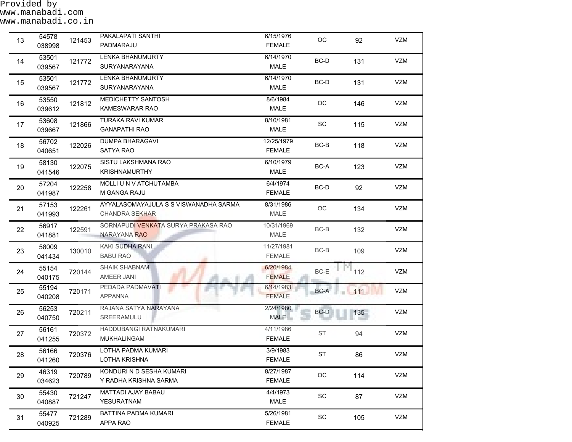Provided by www.manabadi.com

| 13 | 54578<br>038998 | 121453 | PAKALAPATI SANTHI<br>PADMARAJU                                 | 6/15/1976<br><b>FEMALE</b>  | $OC$                         | 92     | VZM        |
|----|-----------------|--------|----------------------------------------------------------------|-----------------------------|------------------------------|--------|------------|
| 14 | 53501<br>039567 | 121772 | <b>LENKA BHANUMURTY</b><br>SURYANARAYANA                       | 6/14/1970<br>MALE           | BC-D                         | 131    | VZM        |
| 15 | 53501<br>039567 | 121772 | <b>LENKA BHANUMURTY</b><br>SURYANARAYANA                       | 6/14/1970<br>MALE           | BC-D                         | 131    | VZM        |
| 16 | 53550<br>039612 | 121812 | MEDICHETTY SANTOSH<br><b>KAMESWARAR RAO</b>                    | 8/6/1984<br>MALE            | OC                           | 146    | VZM        |
| 17 | 53608<br>039667 | 121866 | <b>TURAKA RAVI KUMAR</b><br><b>GANAPATHI RAO</b>               | 8/10/1981<br>MALE           | SC                           | 115    | VZM        |
| 18 | 56702<br>040651 | 122026 | <b>DUMPA BHARAGAVI</b><br>SATYA RAO                            | 12/25/1979<br><b>FEMALE</b> | BC-B                         | 118    | VZM        |
| 19 | 58130<br>041546 | 122075 | SISTU LAKSHMANA RAO<br><b>KRISHNAMURTHY</b>                    | 6/10/1979<br>MALE           | $BC-A$                       | 123    | VZM        |
| 20 | 57204<br>041987 | 122258 | MOLLI U N V ATCHUTAMBA<br><b>M GANGA RAJU</b>                  | 6/4/1974<br><b>FEMALE</b>   | $BC-D$                       | 92     | VZM        |
| 21 | 57153<br>041993 | 122261 | AYYALASOMAYAJULA S S VISWANADHA SARMA<br><b>CHANDRA SEKHAR</b> | 8/31/1986<br><b>MALE</b>    | OC                           | 134    | VZM        |
| 22 | 56917<br>041881 | 122591 | SORNAPUDI VENKATA SURYA PRAKASA RAO<br>NARAYANA RAO            | 10/31/1969<br>MALE          | $BC-B$                       | 132    | VZM        |
| 23 | 58009<br>041434 | 130010 | KAKI SUDHA RANI<br><b>BABU RAO</b>                             | 11/27/1981<br><b>FEMALE</b> | BC-B                         | 109    | VZM        |
| 24 | 55154<br>040175 | 720144 | SHAIK SHABNAM<br>AMEER JANI                                    | 6/20/1984<br><b>FEMALE</b>  | BC-E                         | 112    | VZM        |
| 25 | 55194<br>040208 | 720171 | PEDADA PADMAVATI<br><b>APPANNA</b>                             | 6/14/1983<br><b>FEMALE</b>  | BC-A                         | $-111$ | VZM        |
| 26 | 56253<br>040750 | 720211 | RAJANA SATYA NARAYANA<br>SREERAMULU                            | 2/24/1980<br><b>MALE</b>    | BC-D                         | 135    | VZM        |
| 27 | 56161<br>041255 | 720372 | HADDUBANGI RATNAKUMARI<br>MUKHALINGAM                          | 4/11/1986<br><b>FEMALE</b>  | ST                           | 94     | VZM        |
| 28 | 56166<br>041260 | 720376 | LOTHA PADMA KUMARI<br>LOTHA KRISHNA                            | 3/9/1983<br><b>FEMALE</b>   | <b>ST</b>                    | 86     | VZM        |
| 29 | 46319<br>034623 | 720789 | KONDURI N D SESHA KUMARI<br>Y RADHA KRISHNA SARMA              | 8/27/1987<br><b>FEMALE</b>  | OC                           | 114    | <b>VZM</b> |
| 30 | 55430<br>040887 | 721247 | MATTADI AJAY BABAU<br>YESURATNAM                               | 4/4/1973<br>MALE            | $\operatorname{\textsf{SC}}$ | 87     | VZM        |
| 31 | 55477<br>040925 | 721289 | BATTINA PADMA KUMARI<br>APPA RAO                               | 5/26/1981<br><b>FEMALE</b>  | $\operatorname{\textsf{SC}}$ | 105    | VZM        |